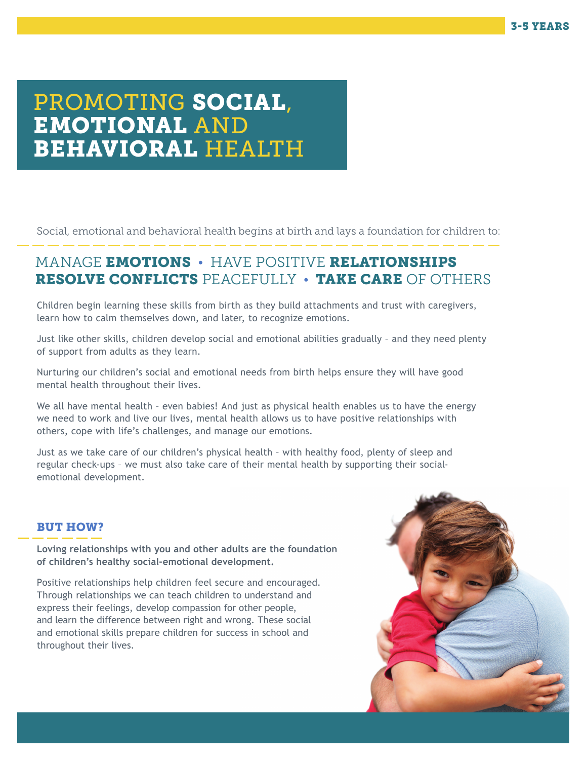# PROMOTING SOCIAL, EMOTIONAL AND BEHAVIORAL HEALTH

Social, emotional and behavioral health begins at birth and lays a foundation for children to:

## MANAGE EMOTIONS • HAVE POSITIVE RELATIONSHIPS RESOLVE CONFLICTS PEACEFULLY • TAKE CARE OF OTHERS

Children begin learning these skills from birth as they build attachments and trust with caregivers, learn how to calm themselves down, and later, to recognize emotions.

Just like other skills, children develop social and emotional abilities gradually – and they need plenty of support from adults as they learn.

Nurturing our children's social and emotional needs from birth helps ensure they will have good mental health throughout their lives.

We all have mental health - even babies! And just as physical health enables us to have the energy we need to work and live our lives, mental health allows us to have positive relationships with others, cope with life's challenges, and manage our emotions.

Just as we take care of our children's physical health – with healthy food, plenty of sleep and regular check-ups – we must also take care of their mental health by supporting their socialemotional development.

#### BUT HOW?

**Loving relationships with you and other adults are the foundation of children's healthy social-emotional development.** 

Positive relationships help children feel secure and encouraged. Through relationships we can teach children to understand and express their feelings, develop compassion for other people, and learn the difference between right and wrong. These social and emotional skills prepare children for success in school and throughout their lives.